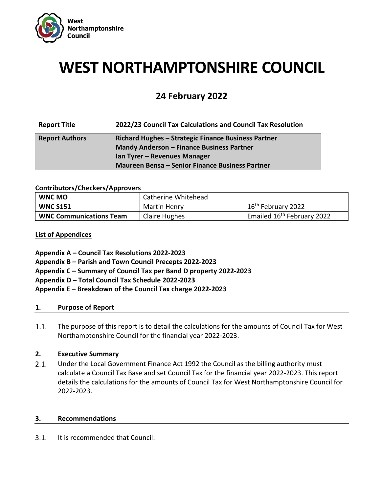

# **WEST NORTHAMPTONSHIRE COUNCIL**

# **24 February 2022**

| <b>Report Title</b>   | 2022/23 Council Tax Calculations and Council Tax Resolution |  |
|-----------------------|-------------------------------------------------------------|--|
| <b>Report Authors</b> | Richard Hughes - Strategic Finance Business Partner         |  |
|                       | <b>Mandy Anderson - Finance Business Partner</b>            |  |
|                       | Ian Tyrer - Revenues Manager                                |  |
|                       | <b>Maureen Bensa - Senior Finance Business Partner</b>      |  |

#### **Contributors/Checkers/Approvers**

| <b>WNC MO</b>                  | Catherine Whitehead |                                        |
|--------------------------------|---------------------|----------------------------------------|
| <b>WNC S151</b>                | Martin Henry        | 16 <sup>th</sup> February 2022         |
| <b>WNC Communications Team</b> | Claire Hughes       | Emailed 16 <sup>th</sup> February 2022 |

#### **List of Appendices**

- **Appendix A – Council Tax Resolutions 2022-2023**
- **Appendix B – Parish and Town Council Precepts 2022-2023**
- **Appendix C – Summary of Council Tax per Band D property 2022-2023**
- **Appendix D – Total Council Tax Schedule 2022-2023**
- **Appendix E – Breakdown of the Council Tax charge 2022-2023**

#### **1. Purpose of Report**

 $1.1.$ The purpose of this report is to detail the calculations for the amounts of Council Tax for West Northamptonshire Council for the financial year 2022-2023.

#### **2. Executive Summary**

 $2.1.$ Under the Local Government Finance Act 1992 the Council as the billing authority must calculate a Council Tax Base and set Council Tax for the financial year 2022-2023. This report details the calculations for the amounts of Council Tax for West Northamptonshire Council for 2022-2023.

#### **3. Recommendations**

 $3.1.$ It is recommended that Council: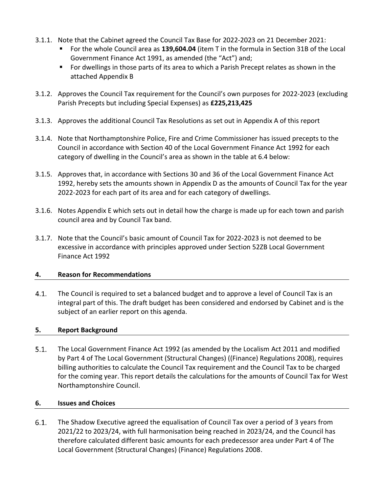- 3.1.1. Note that the Cabinet agreed the Council Tax Base for 2022-2023 on 21 December 2021:
	- For the whole Council area as **139,604.04** (item T in the formula in Section 31B of the Local Government Finance Act 1991, as amended (the "Act") and;
	- For dwellings in those parts of its area to which a Parish Precept relates as shown in the attached Appendix B
- 3.1.2. Approves the Council Tax requirement for the Council's own purposes for 2022-2023 (excluding Parish Precepts but including Special Expenses) as **£225,213,425**
- 3.1.3. Approves the additional Council Tax Resolutions as set out in Appendix A of this report
- 3.1.4. Note that Northamptonshire Police, Fire and Crime Commissioner has issued precepts to the Council in accordance with Section 40 of the Local Government Finance Act 1992 for each category of dwelling in the Council's area as shown in the table at 6.4 below:
- 3.1.5. Approves that, in accordance with Sections 30 and 36 of the Local Government Finance Act 1992, hereby sets the amounts shown in Appendix D as the amounts of Council Tax for the year 2022-2023 for each part of its area and for each category of dwellings.
- 3.1.6. Notes Appendix E which sets out in detail how the charge is made up for each town and parish council area and by Council Tax band.
- 3.1.7. Note that the Council's basic amount of Council Tax for 2022-2023 is not deemed to be excessive in accordance with principles approved under Section 52ZB Local Government Finance Act 1992

# **4. Reason for Recommendations**

 $4.1.$ The Council is required to set a balanced budget and to approve a level of Council Tax is an integral part of this. The draft budget has been considered and endorsed by Cabinet and is the subject of an earlier report on this agenda.

# **5. Report Background**

 $5.1.$ The Local Government Finance Act 1992 (as amended by the Localism Act 2011 and modified by Part 4 of The Local Government (Structural Changes) ((Finance) Regulations 2008), requires billing authorities to calculate the Council Tax requirement and the Council Tax to be charged for the coming year. This report details the calculations for the amounts of Council Tax for West Northamptonshire Council.

# **6. Issues and Choices**

 $6.1.$ The Shadow Executive agreed the equalisation of Council Tax over a period of 3 years from 2021/22 to 2023/24, with full harmonisation being reached in 2023/24, and the Council has therefore calculated different basic amounts for each predecessor area under Part 4 of The Local Government (Structural Changes) (Finance) Regulations 2008.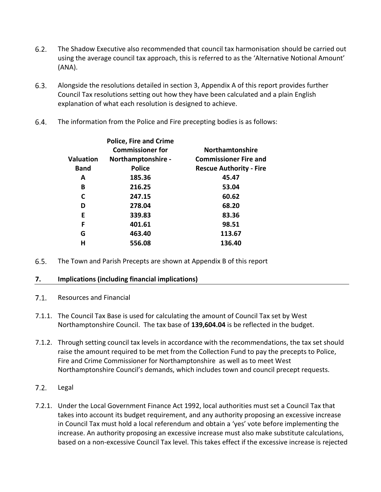- $6.2.$ The Shadow Executive also recommended that council tax harmonisation should be carried out using the average council tax approach, this is referred to as the 'Alternative Notional Amount' (ANA).
- $6.3.$ Alongside the resolutions detailed in section 3, Appendix A of this report provides further Council Tax resolutions setting out how they have been calculated and a plain English explanation of what each resolution is designed to achieve.
- 6.4. The information from the Police and Fire precepting bodies is as follows:

|                  | <b>Police, Fire and Crime</b> |                                |
|------------------|-------------------------------|--------------------------------|
|                  | <b>Commissioner for</b>       | <b>Northamtonshire</b>         |
| <b>Valuation</b> | Northamptonshire -            | <b>Commissioner Fire and</b>   |
| <b>Band</b>      | <b>Police</b>                 | <b>Rescue Authority - Fire</b> |
| A                | 185.36                        | 45.47                          |
| B                | 216.25                        | 53.04                          |
| C                | 247.15                        | 60.62                          |
| D                | 278.04                        | 68.20                          |
| Е                | 339.83                        | 83.36                          |
| F                | 401.61                        | 98.51                          |
| G                | 463.40                        | 113.67                         |
| н                | 556.08                        | 136.40                         |
|                  |                               |                                |

The Town and Parish Precepts are shown at Appendix B of this report  $6.5.$ 

# **7. Implications (including financial implications)**

- $7.1.$ Resources and Financial
- 7.1.1. The Council Tax Base is used for calculating the amount of Council Tax set by West Northamptonshire Council. The tax base of **139,604.04** is be reflected in the budget.
- 7.1.2. Through setting council tax levels in accordance with the recommendations, the tax set should raise the amount required to be met from the Collection Fund to pay the precepts to Police, Fire and Crime Commissioner for Northamptonshire as well as to meet West Northamptonshire Council's demands, which includes town and council precept requests.
- $7.2.$ Legal
- 7.2.1. Under the Local Government Finance Act 1992, local authorities must set a Council Tax that takes into account its budget requirement, and any authority proposing an excessive increase in Council Tax must hold a local referendum and obtain a 'yes' vote before implementing the increase. An authority proposing an excessive increase must also make substitute calculations, based on a non-excessive Council Tax level. This takes effect if the excessive increase is rejected